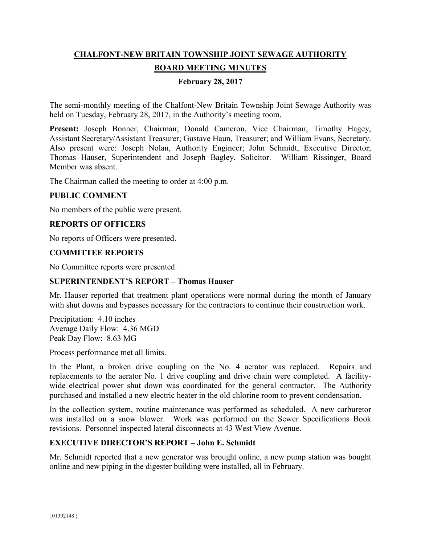# **CHALFONT-NEW BRITAIN TOWNSHIP JOINT SEWAGE AUTHORITY BOARD MEETING MINUTES**

## **February 28, 2017**

The semi-monthly meeting of the Chalfont-New Britain Township Joint Sewage Authority was held on Tuesday, February 28, 2017, in the Authority's meeting room.

Present: Joseph Bonner, Chairman; Donald Cameron, Vice Chairman; Timothy Hagey, Assistant Secretary/Assistant Treasurer; Gustave Haun, Treasurer; and William Evans, Secretary. Also present were: Joseph Nolan, Authority Engineer; John Schmidt, Executive Director; Thomas Hauser, Superintendent and Joseph Bagley, Solicitor. William Rissinger, Board Member was absent.

The Chairman called the meeting to order at 4:00 p.m.

#### **PUBLIC COMMENT**

No members of the public were present.

#### **REPORTS OF OFFICERS**

No reports of Officers were presented.

#### **COMMITTEE REPORTS**

No Committee reports were presented.

#### **SUPERINTENDENT'S REPORT – Thomas Hauser**

Mr. Hauser reported that treatment plant operations were normal during the month of January with shut downs and bypasses necessary for the contractors to continue their construction work.

Precipitation: 4.10 inches Average Daily Flow: 4.36 MGD Peak Day Flow: 8.63 MG

Process performance met all limits.

In the Plant, a broken drive coupling on the No. 4 aerator was replaced. Repairs and replacements to the aerator No. 1 drive coupling and drive chain were completed. A facilitywide electrical power shut down was coordinated for the general contractor. The Authority purchased and installed a new electric heater in the old chlorine room to prevent condensation.

In the collection system, routine maintenance was performed as scheduled. A new carburetor was installed on a snow blower. Work was performed on the Sewer Specifications Book revisions. Personnel inspected lateral disconnects at 43 West View Avenue.

#### **EXECUTIVE DIRECTOR'S REPORT – John E. Schmidt**

Mr. Schmidt reported that a new generator was brought online, a new pump station was bought online and new piping in the digester building were installed, all in February.